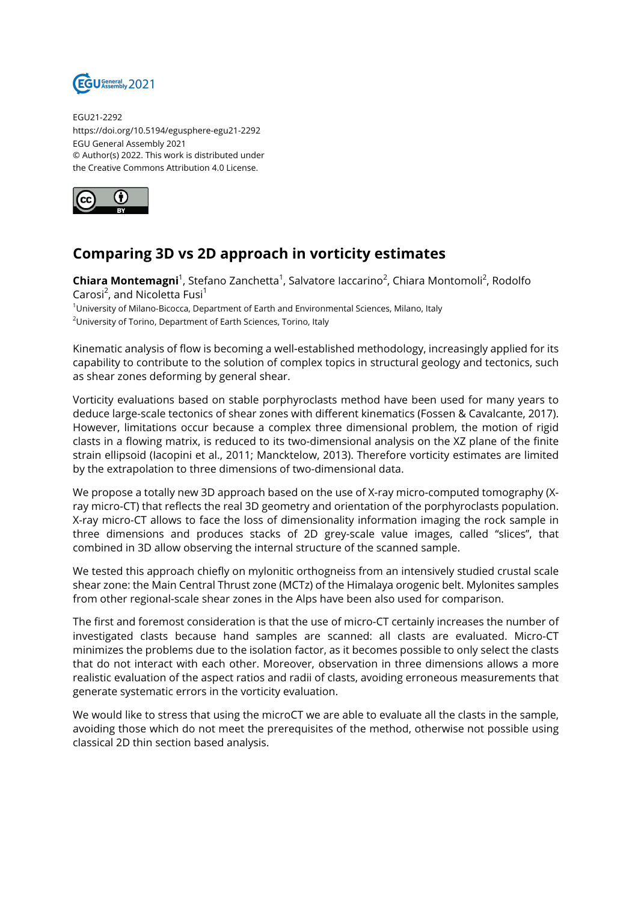

EGU21-2292 https://doi.org/10.5194/egusphere-egu21-2292 EGU General Assembly 2021 © Author(s) 2022. This work is distributed under the Creative Commons Attribution 4.0 License.



## **Comparing 3D vs 2D approach in vorticity estimates**

**Chiara Montemagni**<sup>1</sup>, Stefano Zanchetta<sup>1</sup>, Salvatore Iaccarino<sup>2</sup>, Chiara Montomoli<sup>2</sup>, Rodolfo Carosi<sup>2</sup>, and Nicoletta Fusi<sup>1</sup>

<sup>1</sup>University of Milano-Bicocca, Department of Earth and Environmental Sciences, Milano, Italy <sup>2</sup>University of Torino, Department of Earth Sciences, Torino, Italy

Kinematic analysis of flow is becoming a well-established methodology, increasingly applied for its capability to contribute to the solution of complex topics in structural geology and tectonics, such as shear zones deforming by general shear.

Vorticity evaluations based on stable porphyroclasts method have been used for many years to deduce large-scale tectonics of shear zones with different kinematics (Fossen & Cavalcante, 2017). However, limitations occur because a complex three dimensional problem, the motion of rigid clasts in a flowing matrix, is reduced to its two-dimensional analysis on the XZ plane of the finite strain ellipsoid (Iacopini et al., 2011; Mancktelow, 2013). Therefore vorticity estimates are limited by the extrapolation to three dimensions of two-dimensional data.

We propose a totally new 3D approach based on the use of X-ray micro-computed tomography (Xray micro-CT) that reflects the real 3D geometry and orientation of the porphyroclasts population. X-ray micro-CT allows to face the loss of dimensionality information imaging the rock sample in three dimensions and produces stacks of 2D grey-scale value images, called "slices", that combined in 3D allow observing the internal structure of the scanned sample.

We tested this approach chiefly on mylonitic orthogneiss from an intensively studied crustal scale shear zone: the Main Central Thrust zone (MCTz) of the Himalaya orogenic belt. Mylonites samples from other regional-scale shear zones in the Alps have been also used for comparison.

The first and foremost consideration is that the use of micro-CT certainly increases the number of investigated clasts because hand samples are scanned: all clasts are evaluated. Micro-CT minimizes the problems due to the isolation factor, as it becomes possible to only select the clasts that do not interact with each other. Moreover, observation in three dimensions allows a more realistic evaluation of the aspect ratios and radii of clasts, avoiding erroneous measurements that generate systematic errors in the vorticity evaluation.

We would like to stress that using the microCT we are able to evaluate all the clasts in the sample, avoiding those which do not meet the prerequisites of the method, otherwise not possible using classical 2D thin section based analysis.